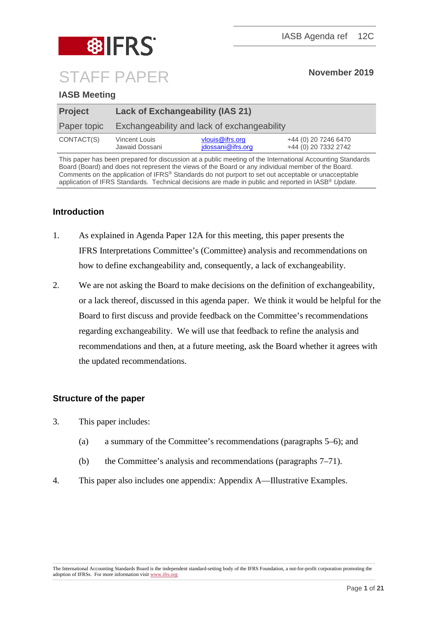

# **IASB Meeting**

| <b>Project</b> | <b>Lack of Exchangeability (IAS 21)</b>     |                                      |                                              |
|----------------|---------------------------------------------|--------------------------------------|----------------------------------------------|
| Paper topic    | Exchangeability and lack of exchangeability |                                      |                                              |
| CONTACT(S)     | Vincent Louis<br>Jawaid Dossani             | vlouis@ifrs.org<br>jdossani@ifrs.org | +44 (0) 20 7246 6470<br>+44 (0) 20 7332 2742 |

This paper has been prepared for discussion at a public meeting of the International Accounting Standards Board (Board) and does not represent the views of the Board or any individual member of the Board. Comments on the application of IFRS® Standards do not purport to set out acceptable or unacceptable application of IFRS Standards. Technical decisions are made in public and reported in IASB® *Update*.

## **Introduction**

- 1. As explained in Agenda Paper 12A for this meeting, this paper presents the IFRS Interpretations Committee's (Committee) analysis and recommendations on how to define exchangeability and, consequently, a lack of exchangeability.
- 2. We are not asking the Board to make decisions on the definition of exchangeability, or a lack thereof, discussed in this agenda paper. We think it would be helpful for the Board to first discuss and provide feedback on the Committee's recommendations regarding exchangeability. We will use that feedback to refine the analysis and recommendations and then, at a future meeting, ask the Board whether it agrees with the updated recommendations.

## **Structure of the paper**

- 3. This paper includes:
	- (a) a summary of the Committee's recommendations (paragraphs [5–](#page-1-0)[6\)](#page-1-1); and
	- (b) the Committee's analysis and recommendations (paragraphs [7–](#page-2-0)[71\)](#page-16-0).
- 4. This paper also includes one appendix: Appendix A—Illustrative Examples.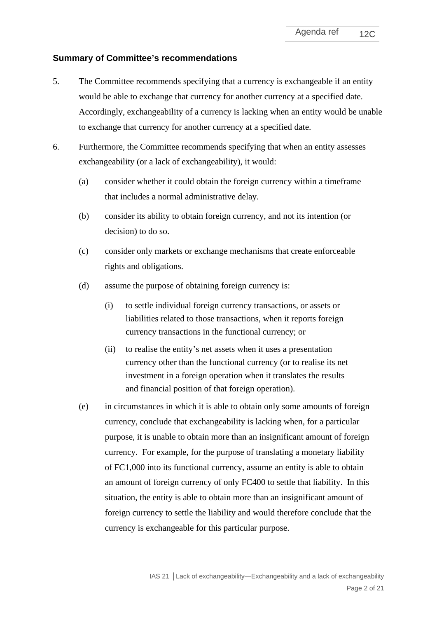## **Summary of Committee's recommendations**

- <span id="page-1-0"></span>5. The Committee recommends specifying that a currency is exchangeable if an entity would be able to exchange that currency for another currency at a specified date. Accordingly, exchangeability of a currency is lacking when an entity would be unable to exchange that currency for another currency at a specified date.
- <span id="page-1-1"></span>6. Furthermore, the Committee recommends specifying that when an entity assesses exchangeability (or a lack of exchangeability), it would:
	- (a) consider whether it could obtain the foreign currency within a timeframe that includes a normal administrative delay.
	- (b) consider its ability to obtain foreign currency, and not its intention (or decision) to do so.
	- (c) consider only markets or exchange mechanisms that create enforceable rights and obligations.
	- (d) assume the purpose of obtaining foreign currency is:
		- (i) to settle individual foreign currency transactions, or assets or liabilities related to those transactions, when it reports foreign currency transactions in the functional currency; or
		- (ii) to realise the entity's net assets when it uses a presentation currency other than the functional currency (or to realise its net investment in a foreign operation when it translates the results and financial position of that foreign operation).
	- (e) in circumstances in which it is able to obtain only some amounts of foreign currency, conclude that exchangeability is lacking when, for a particular purpose, it is unable to obtain more than an insignificant amount of foreign currency. For example, for the purpose of translating a monetary liability of FC1,000 into its functional currency, assume an entity is able to obtain an amount of foreign currency of only FC400 to settle that liability. In this situation, the entity is able to obtain more than an insignificant amount of foreign currency to settle the liability and would therefore conclude that the currency is exchangeable for this particular purpose.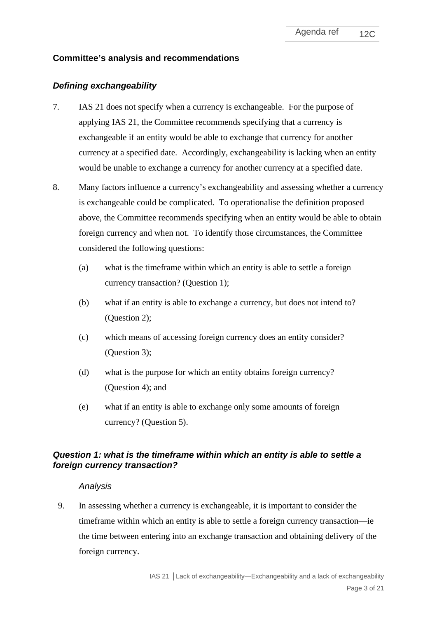## **Committee's analysis and recommendations**

## *Defining exchangeability*

- <span id="page-2-0"></span>7. IAS 21 does not specify when a currency is exchangeable. For the purpose of applying IAS 21, the Committee recommends specifying that a currency is exchangeable if an entity would be able to exchange that currency for another currency at a specified date. Accordingly, exchangeability is lacking when an entity would be unable to exchange a currency for another currency at a specified date.
- 8. Many factors influence a currency's exchangeability and assessing whether a currency is exchangeable could be complicated. To operationalise the definition proposed above, the Committee recommends specifying when an entity would be able to obtain foreign currency and when not. To identify those circumstances, the Committee considered the following questions:
	- (a) what is the timeframe within which an entity is able to settle a foreign currency transaction? (Question 1);
	- (b) what if an entity is able to exchange a currency, but does not intend to? (Question 2);
	- (c) which means of accessing foreign currency does an entity consider? (Question 3);
	- (d) what is the purpose for which an entity obtains foreign currency? (Question 4); and
	- (e) what if an entity is able to exchange only some amounts of foreign currency? (Question 5).

## *Question 1: what is the timeframe within which an entity is able to settle a foreign currency transaction?*

### *Analysis*

<span id="page-2-1"></span>9. In assessing whether a currency is exchangeable, it is important to consider the timeframe within which an entity is able to settle a foreign currency transaction––ie the time between entering into an exchange transaction and obtaining delivery of the foreign currency.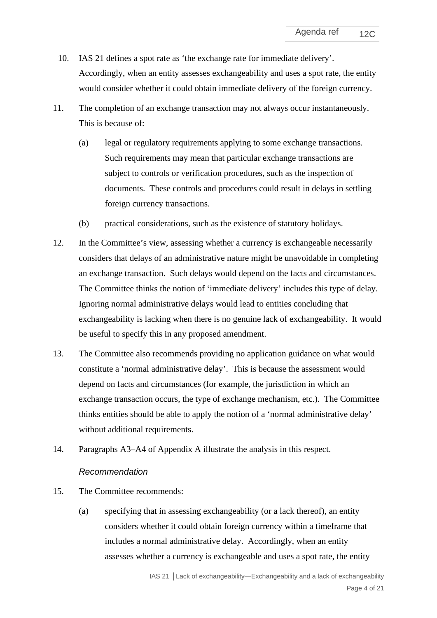- 10. IAS 21 defines a spot rate as 'the exchange rate for immediate delivery'. Accordingly, when an entity assesses exchangeability and uses a spot rate, the entity would consider whether it could obtain immediate delivery of the foreign currency.
- 11. The completion of an exchange transaction may not always occur instantaneously. This is because of:
	- (a) legal or regulatory requirements applying to some exchange transactions. Such requirements may mean that particular exchange transactions are subject to controls or verification procedures, such as the inspection of documents. These controls and procedures could result in delays in settling foreign currency transactions.
	- (b) practical considerations, such as the existence of statutory holidays.
- 12. In the Committee's view, assessing whether a currency is exchangeable necessarily considers that delays of an administrative nature might be unavoidable in completing an exchange transaction. Such delays would depend on the facts and circumstances. The Committee thinks the notion of 'immediate delivery' includes this type of delay. Ignoring normal administrative delays would lead to entities concluding that exchangeability is lacking when there is no genuine lack of exchangeability. It would be useful to specify this in any proposed amendment.
- 13. The Committee also recommends providing no application guidance on what would constitute a 'normal administrative delay'. This is because the assessment would depend on facts and circumstances (for example, the jurisdiction in which an exchange transaction occurs, the type of exchange mechanism, etc.). The Committee thinks entities should be able to apply the notion of a 'normal administrative delay' without additional requirements.
- 14. Paragraphs [A3–](#page-18-0)[A4](#page-18-1) of Appendix A illustrate the analysis in this respect.

### *Recommendation*

- <span id="page-3-0"></span>15. The Committee recommends:
	- (a) specifying that in assessing exchangeability (or a lack thereof), an entity considers whether it could obtain foreign currency within a timeframe that includes a normal administrative delay. Accordingly, when an entity assesses whether a currency is exchangeable and uses a spot rate, the entity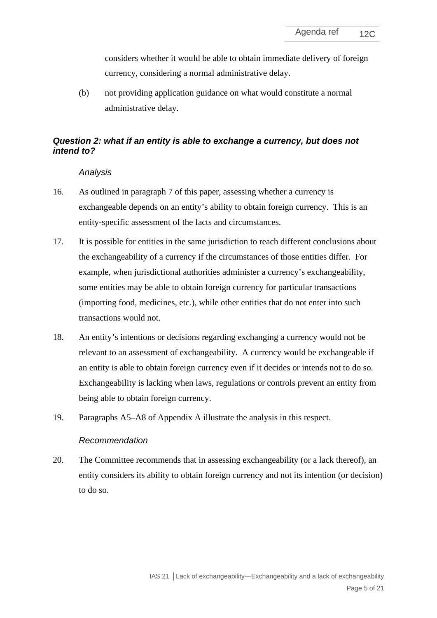considers whether it would be able to obtain immediate delivery of foreign currency, considering a normal administrative delay.

(b) not providing application guidance on what would constitute a normal administrative delay.

# *Question 2: what if an entity is able to exchange a currency, but does not intend to?*

### *Analysis*

- <span id="page-4-0"></span>16. As outlined in paragraph [7](#page-2-0) of this paper, assessing whether a currency is exchangeable depends on an entity's ability to obtain foreign currency. This is an entity-specific assessment of the facts and circumstances.
- 17. It is possible for entities in the same jurisdiction to reach different conclusions about the exchangeability of a currency if the circumstances of those entities differ. For example, when jurisdictional authorities administer a currency's exchangeability, some entities may be able to obtain foreign currency for particular transactions (importing food, medicines, etc.), while other entities that do not enter into such transactions would not.
- 18. An entity's intentions or decisions regarding exchanging a currency would not be relevant to an assessment of exchangeability. A currency would be exchangeable if an entity is able to obtain foreign currency even if it decides or intends not to do so. Exchangeability is lacking when laws, regulations or controls prevent an entity from being able to obtain foreign currency.
- 19. Paragraphs [A5–](#page-18-2)[A8](#page-19-0) of Appendix A illustrate the analysis in this respect.

### *Recommendation*

<span id="page-4-1"></span>20. The Committee recommends that in assessing exchangeability (or a lack thereof), an entity considers its ability to obtain foreign currency and not its intention (or decision) to do so.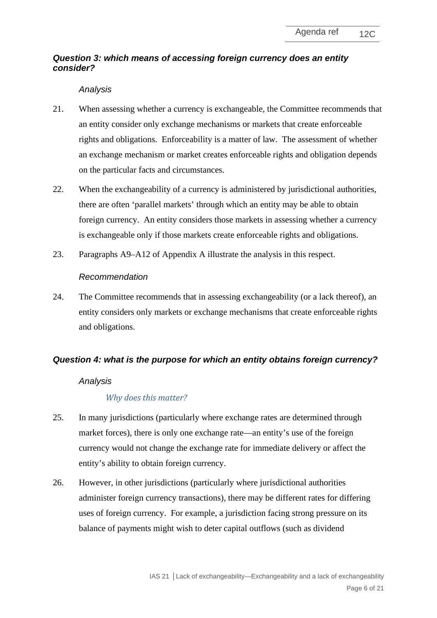# *Question 3: which means of accessing foreign currency does an entity consider?*

## *Analysis*

- <span id="page-5-0"></span>21. When assessing whether a currency is exchangeable, the Committee recommends that an entity consider only exchange mechanisms or markets that create enforceable rights and obligations. Enforceability is a matter of law. The assessment of whether an exchange mechanism or market creates enforceable rights and obligation depends on the particular facts and circumstances.
- 22. When the exchangeability of a currency is administered by jurisdictional authorities, there are often 'parallel markets' through which an entity may be able to obtain foreign currency. An entity considers those markets in assessing whether a currency is exchangeable only if those markets create enforceable rights and obligations.
- 23. Paragraphs [A9–](#page-19-1)[A12](#page-19-2) of Appendix A illustrate the analysis in this respect.

## *Recommendation*

<span id="page-5-1"></span>24. The Committee recommends that in assessing exchangeability (or a lack thereof), an entity considers only markets or exchange mechanisms that create enforceable rights and obligations.

## *Question 4: what is the purpose for which an entity obtains foreign currency?*

## *Analysis*

## *Why does this matter?*

- 25. In many jurisdictions (particularly where exchange rates are determined through market forces), there is only one exchange rate—an entity's use of the foreign currency would not change the exchange rate for immediate delivery or affect the entity's ability to obtain foreign currency.
- 26. However, in other jurisdictions (particularly where jurisdictional authorities administer foreign currency transactions), there may be different rates for differing uses of foreign currency. For example, a jurisdiction facing strong pressure on its balance of payments might wish to deter capital outflows (such as dividend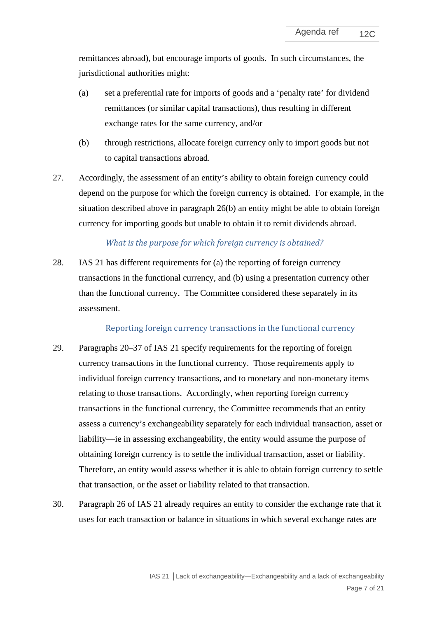remittances abroad), but encourage imports of goods. In such circumstances, the jurisdictional authorities might:

- (a) set a preferential rate for imports of goods and a 'penalty rate' for dividend remittances (or similar capital transactions), thus resulting in different exchange rates for the same currency, and/or
- <span id="page-6-0"></span>(b) through restrictions, allocate foreign currency only to import goods but not to capital transactions abroad.
- 27. Accordingly, the assessment of an entity's ability to obtain foreign currency could depend on the purpose for which the foreign currency is obtained. For example, in the situation described above in paragraph [26\(b\)](#page-6-0) an entity might be able to obtain foreign currency for importing goods but unable to obtain it to remit dividends abroad.

### *What is the purpose for which foreign currency is obtained?*

28. IAS 21 has different requirements for (a) the reporting of foreign currency transactions in the functional currency, and (b) using a presentation currency other than the functional currency. The Committee considered these separately in its assessment.

### Reporting foreign currency transactions in the functional currency

- <span id="page-6-2"></span>29. Paragraphs 20–37 of IAS 21 specify requirements for the reporting of foreign currency transactions in the functional currency. Those requirements apply to individual foreign currency transactions, and to monetary and non-monetary items relating to those transactions. Accordingly, when reporting foreign currency transactions in the functional currency, the Committee recommends that an entity assess a currency's exchangeability separately for each individual transaction, asset or liability—ie in assessing exchangeability, the entity would assume the purpose of obtaining foreign currency is to settle the individual transaction, asset or liability. Therefore, an entity would assess whether it is able to obtain foreign currency to settle that transaction, or the asset or liability related to that transaction.
- <span id="page-6-1"></span>30. Paragraph 26 of IAS 21 already requires an entity to consider the exchange rate that it uses for each transaction or balance in situations in which several exchange rates are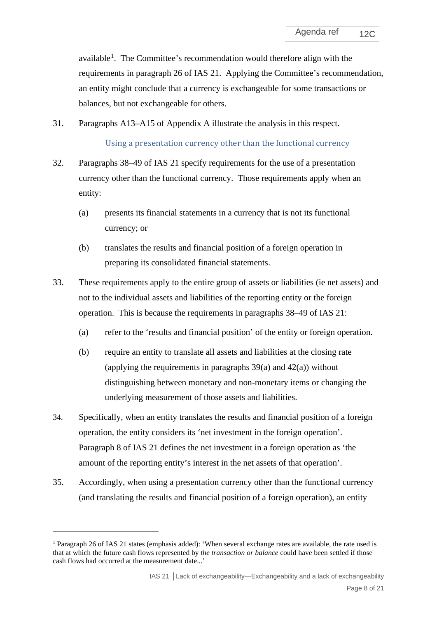available<sup>[1](#page-7-0)</sup>. The Committee's recommendation would therefore align with the requirements in paragraph 26 of IAS 21. Applying the Committee's recommendation, an entity might conclude that a currency is exchangeable for some transactions or balances, but not exchangeable for others.

<span id="page-7-2"></span>31. Paragraphs [A13–](#page-20-0)[A15](#page-20-1) of Appendix A illustrate the analysis in this respect.

Using a presentation currency other than the functional currency

- <span id="page-7-1"></span>32. Paragraphs 38–49 of IAS 21 specify requirements for the use of a presentation currency other than the functional currency. Those requirements apply when an entity:
	- (a) presents its financial statements in a currency that is not its functional currency; or
	- (b) translates the results and financial position of a foreign operation in preparing its consolidated financial statements.
- 33. These requirements apply to the entire group of assets or liabilities (ie net assets) and not to the individual assets and liabilities of the reporting entity or the foreign operation. This is because the requirements in paragraphs 38–49 of IAS 21:
	- (a) refer to the 'results and financial position' of the entity or foreign operation.
	- (b) require an entity to translate all assets and liabilities at the closing rate (applying the requirements in paragraphs  $39(a)$  and  $42(a)$ ) without distinguishing between monetary and non-monetary items or changing the underlying measurement of those assets and liabilities.
- 34. Specifically, when an entity translates the results and financial position of a foreign operation, the entity considers its 'net investment in the foreign operation'. Paragraph 8 of IAS 21 defines the net investment in a foreign operation as 'the amount of the reporting entity's interest in the net assets of that operation'.
- 35. Accordingly, when using a presentation currency other than the functional currency (and translating the results and financial position of a foreign operation), an entity

<span id="page-7-0"></span><sup>&</sup>lt;sup>1</sup> Paragraph 26 of IAS 21 states (emphasis added): 'When several exchange rates are available, the rate used is that at which the future cash flows represented by *the transaction or balance* could have been settled if those cash flows had occurred at the measurement date...'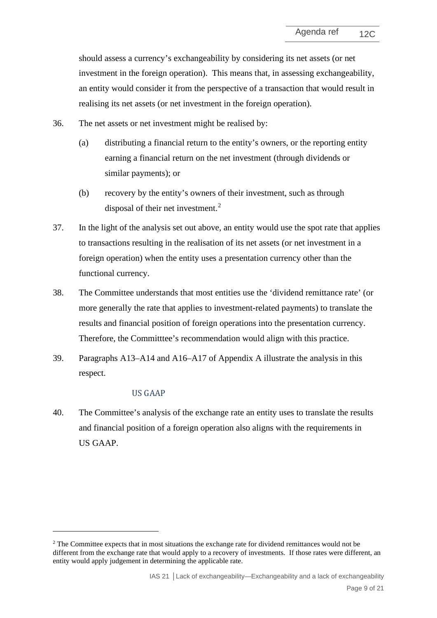should assess a currency's exchangeability by considering its net assets (or net investment in the foreign operation). This means that, in assessing exchangeability, an entity would consider it from the perspective of a transaction that would result in realising its net assets (or net investment in the foreign operation).

- 36. The net assets or net investment might be realised by:
	- (a) distributing a financial return to the entity's owners, or the reporting entity earning a financial return on the net investment (through dividends or similar payments); or
	- (b) recovery by the entity's owners of their investment, such as through disposal of their net investment.<sup>[2](#page-8-0)</sup>
- 37. In the light of the analysis set out above, an entity would use the spot rate that applies to transactions resulting in the realisation of its net assets (or net investment in a foreign operation) when the entity uses a presentation currency other than the functional currency.
- 38. The Committee understands that most entities use the 'dividend remittance rate' (or more generally the rate that applies to investment-related payments) to translate the results and financial position of foreign operations into the presentation currency. Therefore, the Committtee's recommendation would align with this practice.
- <span id="page-8-1"></span>39. Paragraphs [A13–](#page-20-0)[A14](#page-20-2) and [A16](#page-20-3)[–A17](#page-20-4) of Appendix A illustrate the analysis in this respect.

### US GAAP

40. The Committee's analysis of the exchange rate an entity uses to translate the results and financial position of a foreign operation also aligns with the requirements in US GAAP.

<span id="page-8-0"></span><sup>&</sup>lt;sup>2</sup> The Committee expects that in most situations the exchange rate for dividend remittances would not be different from the exchange rate that would apply to a recovery of investments. If those rates were different, an entity would apply judgement in determining the applicable rate.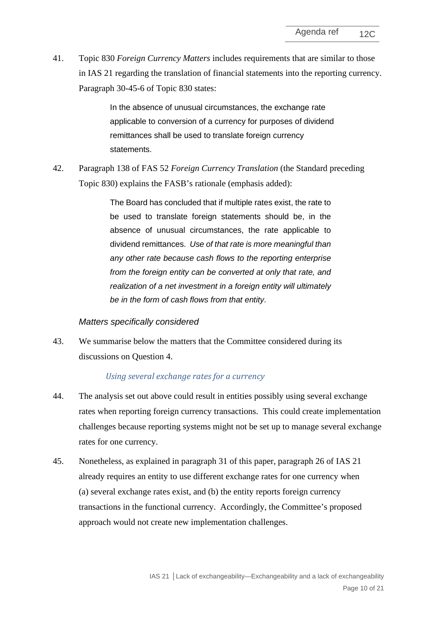41. Topic 830 *Foreign Currency Matters* includes requirements that are similar to those in IAS 21 regarding the translation of financial statements into the reporting currency. Paragraph 30-45-6 of Topic 830 states:

> In the absence of unusual circumstances, the exchange rate applicable to conversion of a currency for purposes of dividend remittances shall be used to translate foreign currency statements.

42. Paragraph 138 of FAS 52 *Foreign Currency Translation* (the Standard preceding Topic 830) explains the FASB's rationale (emphasis added):

> The Board has concluded that if multiple rates exist, the rate to be used to translate foreign statements should be, in the absence of unusual circumstances, the rate applicable to dividend remittances. *Use of that rate is more meaningful than any other rate because cash flows to the reporting enterprise from the foreign entity can be converted at only that rate, and realization of a net investment in a foreign entity will ultimately be in the form of cash flows from that entity*.

### *Matters specifically considered*

43. We summarise below the matters that the Committee considered during its discussions on Question 4.

### *Using several exchange rates for a currency*

- 44. The analysis set out above could result in entities possibly using several exchange rates when reporting foreign currency transactions. This could create implementation challenges because reporting systems might not be set up to manage several exchange rates for one currency.
- 45. Nonetheless, as explained in paragraph [31](#page-6-1) of this paper, paragraph 26 of IAS 21 already requires an entity to use different exchange rates for one currency when (a) several exchange rates exist, and (b) the entity reports foreign currency transactions in the functional currency. Accordingly, the Committee's proposed approach would not create new implementation challenges.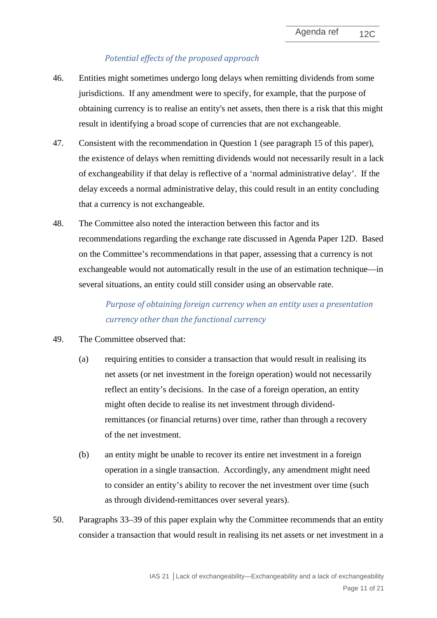# *Potential effects of the proposed approach*

- 46. Entities might sometimes undergo long delays when remitting dividends from some jurisdictions. If any amendment were to specify, for example, that the purpose of obtaining currency is to realise an entity's net assets, then there is a risk that this might result in identifying a broad scope of currencies that are not exchangeable.
- 47. Consistent with the recommendation in Question 1 (see paragraph [15](#page-3-0) of this paper), the existence of delays when remitting dividends would not necessarily result in a lack of exchangeability if that delay is reflective of a 'normal administrative delay'. If the delay exceeds a normal administrative delay, this could result in an entity concluding that a currency is not exchangeable.
- 48. The Committee also noted the interaction between this factor and its recommendations regarding the exchange rate discussed in Agenda Paper 12D. Based on the Committee's recommendations in that paper, assessing that a currency is not exchangeable would not automatically result in the use of an estimation technique—in several situations, an entity could still consider using an observable rate.

*Purpose of obtaining foreign currency when an entity uses a presentation currency other than the functional currency*

- 49. The Committee observed that:
	- (a) requiring entities to consider a transaction that would result in realising its net assets (or net investment in the foreign operation) would not necessarily reflect an entity's decisions. In the case of a foreign operation, an entity might often decide to realise its net investment through dividendremittances (or financial returns) over time, rather than through a recovery of the net investment.
	- (b) an entity might be unable to recover its entire net investment in a foreign operation in a single transaction. Accordingly, any amendment might need to consider an entity's ability to recover the net investment over time (such as through dividend-remittances over several years).
- 50. Paragraphs [33–](#page-7-1)[39](#page-8-1) of this paper explain why the Committee recommends that an entity consider a transaction that would result in realising its net assets or net investment in a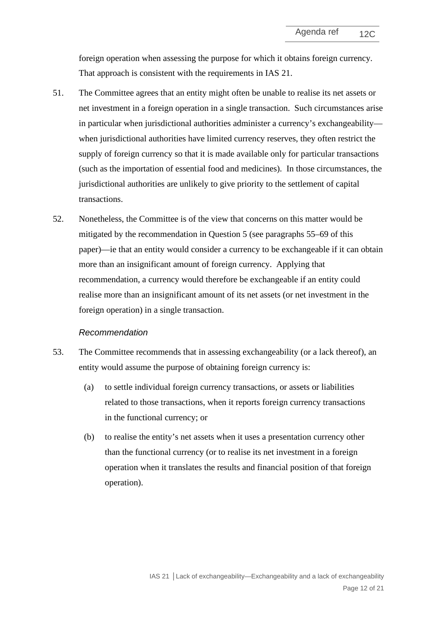foreign operation when assessing the purpose for which it obtains foreign currency. That approach is consistent with the requirements in IAS 21.

- 51. The Committee agrees that an entity might often be unable to realise its net assets or net investment in a foreign operation in a single transaction. Such circumstances arise in particular when jurisdictional authorities administer a currency's exchangeability when jurisdictional authorities have limited currency reserves, they often restrict the supply of foreign currency so that it is made available only for particular transactions (such as the importation of essential food and medicines). In those circumstances, the jurisdictional authorities are unlikely to give priority to the settlement of capital transactions.
- 52. Nonetheless, the Committee is of the view that concerns on this matter would be mitigated by the recommendation in Question 5 (see paragraphs [55](#page-12-0)[–69](#page-15-0) of this paper)—ie that an entity would consider a currency to be exchangeable if it can obtain more than an insignificant amount of foreign currency. Applying that recommendation, a currency would therefore be exchangeable if an entity could realise more than an insignificant amount of its net assets (or net investment in the foreign operation) in a single transaction.

#### *Recommendation*

- 53. The Committee recommends that in assessing exchangeability (or a lack thereof), an entity would assume the purpose of obtaining foreign currency is:
	- (a) to settle individual foreign currency transactions, or assets or liabilities related to those transactions, when it reports foreign currency transactions in the functional currency; or
	- (b) to realise the entity's net assets when it uses a presentation currency other than the functional currency (or to realise its net investment in a foreign operation when it translates the results and financial position of that foreign operation).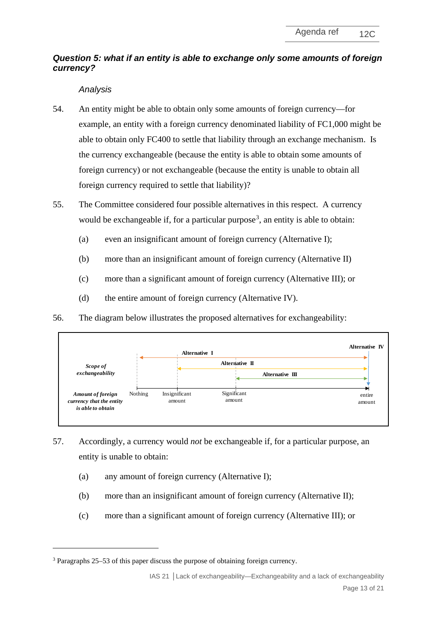# *Question 5: what if an entity is able to exchange only some amounts of foreign currency?*

# *Analysis*

- <span id="page-12-0"></span>54. An entity might be able to obtain only some amounts of foreign currency—for example, an entity with a foreign currency denominated liability of FC1,000 might be able to obtain only FC400 to settle that liability through an exchange mechanism. Is the currency exchangeable (because the entity is able to obtain some amounts of foreign currency) or not exchangeable (because the entity is unable to obtain all foreign currency required to settle that liability)?
- <span id="page-12-2"></span>55. The Committee considered four possible alternatives in this respect. A currency would be exchangeable if, for a particular purpose<sup>[3](#page-12-1)</sup>, an entity is able to obtain:
	- (a) even an insignificant amount of foreign currency (Alternative I);
	- (b) more than an insignificant amount of foreign currency (Alternative II)
	- (c) more than a significant amount of foreign currency (Alternative III); or
	- (d) the entire amount of foreign currency (Alternative IV).
- 56. The diagram below illustrates the proposed alternatives for exchangeability:



- 57. Accordingly, a currency would *not* be exchangeable if, for a particular purpose, an entity is unable to obtain:
	- (a) any amount of foreign currency (Alternative I);
	- (b) more than an insignificant amount of foreign currency (Alternative II);
	- (c) more than a significant amount of foreign currency (Alternative III); or

<span id="page-12-1"></span><sup>3</sup> Paragraphs 25–53 of this paper discuss the purpose of obtaining foreign currency.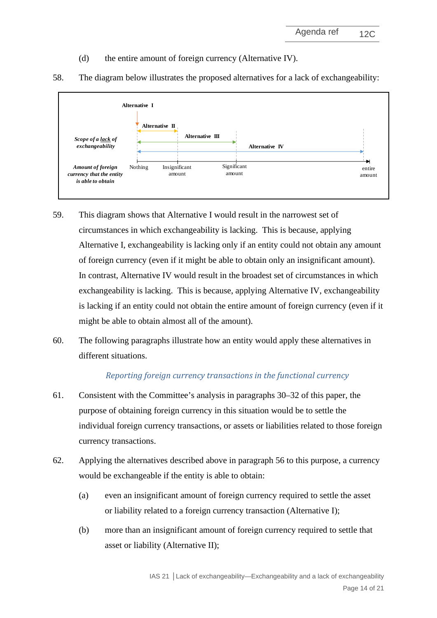(d) the entire amount of foreign currency (Alternative IV).



58. The diagram below illustrates the proposed alternatives for a lack of exchangeability:

- 59. This diagram shows that Alternative I would result in the narrowest set of circumstances in which exchangeability is lacking. This is because, applying Alternative I, exchangeability is lacking only if an entity could not obtain any amount of foreign currency (even if it might be able to obtain only an insignificant amount). In contrast, Alternative IV would result in the broadest set of circumstances in which exchangeability is lacking. This is because, applying Alternative IV, exchangeability is lacking if an entity could not obtain the entire amount of foreign currency (even if it might be able to obtain almost all of the amount).
- 60. The following paragraphs illustrate how an entity would apply these alternatives in different situations.

# *Reporting foreign currency transactions in the functional currency*

- 61. Consistent with the Committee's analysis in paragraphs [30](#page-6-2)[–32](#page-7-2) of this paper, the purpose of obtaining foreign currency in this situation would be to settle the individual foreign currency transactions, or assets or liabilities related to those foreign currency transactions.
- 62. Applying the alternatives described above in paragraph [56](#page-12-2) to this purpose, a currency would be exchangeable if the entity is able to obtain:
	- (a) even an insignificant amount of foreign currency required to settle the asset or liability related to a foreign currency transaction (Alternative I);
	- (b) more than an insignificant amount of foreign currency required to settle that asset or liability (Alternative II);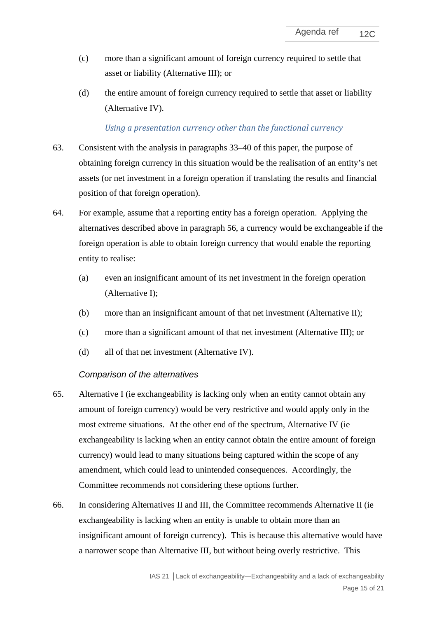- (c) more than a significant amount of foreign currency required to settle that asset or liability (Alternative III); or
- (d) the entire amount of foreign currency required to settle that asset or liability (Alternative IV).

### *Using a presentation currency other than the functional currency*

- 63. Consistent with the analysis in paragraphs [33–](#page-7-1)[40](#page-8-1) of this paper, the purpose of obtaining foreign currency in this situation would be the realisation of an entity's net assets (or net investment in a foreign operation if translating the results and financial position of that foreign operation).
- 64. For example, assume that a reporting entity has a foreign operation. Applying the alternatives described above in paragraph [56,](#page-12-2) a currency would be exchangeable if the foreign operation is able to obtain foreign currency that would enable the reporting entity to realise:
	- (a) even an insignificant amount of its net investment in the foreign operation (Alternative I);
	- (b) more than an insignificant amount of that net investment (Alternative II);
	- (c) more than a significant amount of that net investment (Alternative III); or
	- (d) all of that net investment (Alternative IV).

### *Comparison of the alternatives*

- 65. Alternative I (ie exchangeability is lacking only when an entity cannot obtain any amount of foreign currency) would be very restrictive and would apply only in the most extreme situations. At the other end of the spectrum, Alternative IV (ie exchangeability is lacking when an entity cannot obtain the entire amount of foreign currency) would lead to many situations being captured within the scope of any amendment, which could lead to unintended consequences. Accordingly, the Committee recommends not considering these options further.
- <span id="page-14-0"></span>66. In considering Alternatives II and III, the Committee recommends Alternative II (ie exchangeability is lacking when an entity is unable to obtain more than an insignificant amount of foreign currency). This is because this alternative would have a narrower scope than Alternative III, but without being overly restrictive. This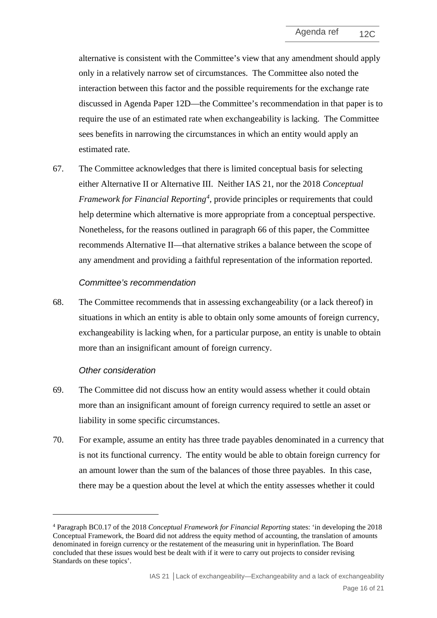alternative is consistent with the Committee's view that any amendment should apply only in a relatively narrow set of circumstances. The Committee also noted the interaction between this factor and the possible requirements for the exchange rate discussed in Agenda Paper 12D––the Committee's recommendation in that paper is to require the use of an estimated rate when exchangeability is lacking. The Committee sees benefits in narrowing the circumstances in which an entity would apply an estimated rate.

67. The Committee acknowledges that there is limited conceptual basis for selecting either Alternative II or Alternative III. Neither IAS 21, nor the 2018 *Conceptual Framework for Financial Reporting[4](#page-15-1)* , provide principles or requirements that could help determine which alternative is more appropriate from a conceptual perspective. Nonetheless, for the reasons outlined in paragraph [66](#page-14-0) of this paper, the Committee recommends Alternative II—that alternative strikes a balance between the scope of any amendment and providing a faithful representation of the information reported.

#### *Committee's recommendation*

<span id="page-15-0"></span>68. The Committee recommends that in assessing exchangeability (or a lack thereof) in situations in which an entity is able to obtain only some amounts of foreign currency, exchangeability is lacking when, for a particular purpose, an entity is unable to obtain more than an insignificant amount of foreign currency.

#### *Other consideration*

- 69. The Committee did not discuss how an entity would assess whether it could obtain more than an insignificant amount of foreign currency required to settle an asset or liability in some specific circumstances.
- 70. For example, assume an entity has three trade payables denominated in a currency that is not its functional currency. The entity would be able to obtain foreign currency for an amount lower than the sum of the balances of those three payables. In this case, there may be a question about the level at which the entity assesses whether it could

<span id="page-15-1"></span><sup>4</sup> Paragraph BC0.17 of the 2018 *Conceptual Framework for Financial Reporting* states: 'in developing the 2018 Conceptual Framework, the Board did not address the equity method of accounting, the translation of amounts denominated in foreign currency or the restatement of the measuring unit in hyperinflation. The Board concluded that these issues would best be dealt with if it were to carry out projects to consider revising Standards on these topics'.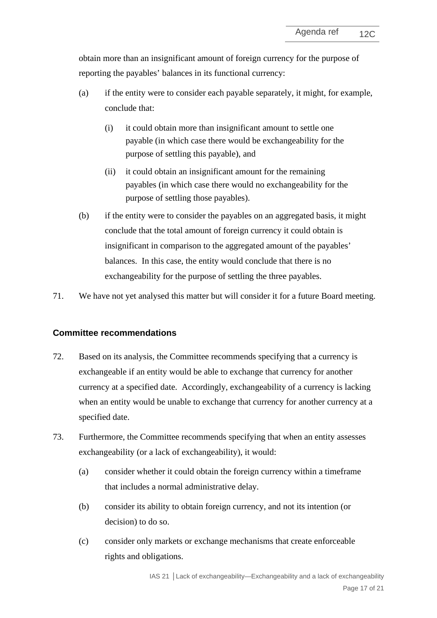obtain more than an insignificant amount of foreign currency for the purpose of reporting the payables' balances in its functional currency:

- (a) if the entity were to consider each payable separately, it might, for example, conclude that:
	- (i) it could obtain more than insignificant amount to settle one payable (in which case there would be exchangeability for the purpose of settling this payable), and
	- (ii) it could obtain an insignificant amount for the remaining payables (in which case there would no exchangeability for the purpose of settling those payables).
- (b) if the entity were to consider the payables on an aggregated basis, it might conclude that the total amount of foreign currency it could obtain is insignificant in comparison to the aggregated amount of the payables' balances. In this case, the entity would conclude that there is no exchangeability for the purpose of settling the three payables.
- <span id="page-16-1"></span>71. We have not yet analysed this matter but will consider it for a future Board meeting.

## **Committee recommendations**

- 72. Based on its analysis, the Committee recommends specifying that a currency is exchangeable if an entity would be able to exchange that currency for another currency at a specified date. Accordingly, exchangeability of a currency is lacking when an entity would be unable to exchange that currency for another currency at a specified date.
- <span id="page-16-0"></span>73. Furthermore, the Committee recommends specifying that when an entity assesses exchangeability (or a lack of exchangeability), it would:
	- (a) consider whether it could obtain the foreign currency within a timeframe that includes a normal administrative delay.
	- (b) consider its ability to obtain foreign currency, and not its intention (or decision) to do so.
	- (c) consider only markets or exchange mechanisms that create enforceable rights and obligations.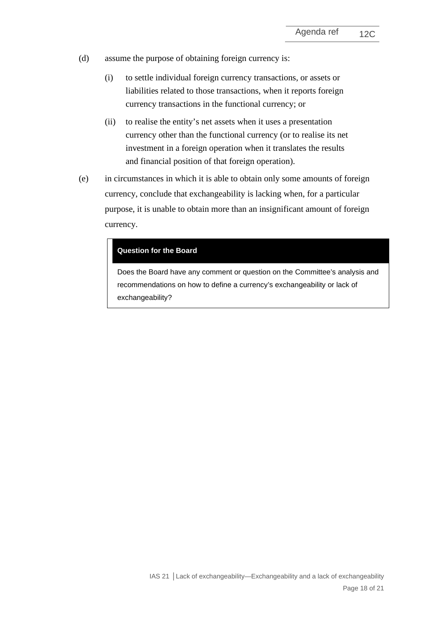- (d) assume the purpose of obtaining foreign currency is:
	- (i) to settle individual foreign currency transactions, or assets or liabilities related to those transactions, when it reports foreign currency transactions in the functional currency; or
	- (ii) to realise the entity's net assets when it uses a presentation currency other than the functional currency (or to realise its net investment in a foreign operation when it translates the results and financial position of that foreign operation).
- (e) in circumstances in which it is able to obtain only some amounts of foreign currency, conclude that exchangeability is lacking when, for a particular purpose, it is unable to obtain more than an insignificant amount of foreign currency.

#### **Question for the Board**

Does the Board have any comment or question on the Committee's analysis and recommendations on how to define a currency's exchangeability or lack of exchangeability?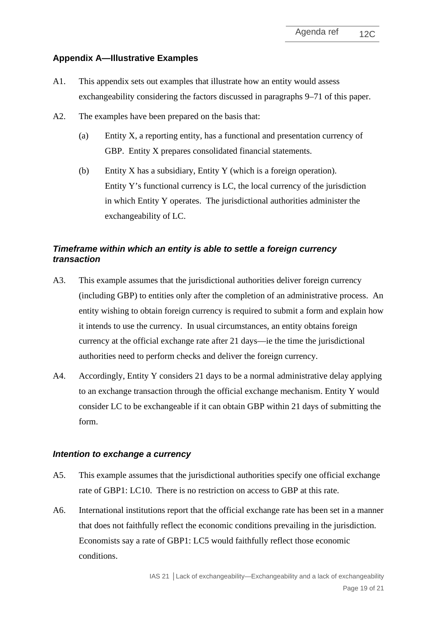## **Appendix A—Illustrative Examples**

- A1. This appendix sets out examples that illustrate how an entity would assess exchangeability considering the factors discussed in paragraphs [9](#page-2-1)[–71](#page-16-1) of this paper.
- A2. The examples have been prepared on the basis that:
	- (a) Entity X, a reporting entity, has a functional and presentation currency of GBP. Entity X prepares consolidated financial statements.
	- (b) Entity X has a subsidiary, Entity Y (which is a foreign operation). Entity Y's functional currency is LC, the local currency of the jurisdiction in which Entity Y operates. The jurisdictional authorities administer the exchangeability of LC.

# *Timeframe within which an entity is able to settle a foreign currency transaction*

- <span id="page-18-0"></span>A3. This example assumes that the jurisdictional authorities deliver foreign currency (including GBP) to entities only after the completion of an administrative process. An entity wishing to obtain foreign currency is required to submit a form and explain how it intends to use the currency. In usual circumstances, an entity obtains foreign currency at the official exchange rate after 21 days––ie the time the jurisdictional authorities need to perform checks and deliver the foreign currency.
- <span id="page-18-1"></span>A4. Accordingly, Entity Y considers 21 days to be a normal administrative delay applying to an exchange transaction through the official exchange mechanism. Entity Y would consider LC to be exchangeable if it can obtain GBP within 21 days of submitting the form.

## *Intention to exchange a currency*

- <span id="page-18-2"></span>A5. This example assumes that the jurisdictional authorities specify one official exchange rate of GBP1: LC10. There is no restriction on access to GBP at this rate.
- A6. International institutions report that the official exchange rate has been set in a manner that does not faithfully reflect the economic conditions prevailing in the jurisdiction. Economists say a rate of GBP1: LC5 would faithfully reflect those economic conditions.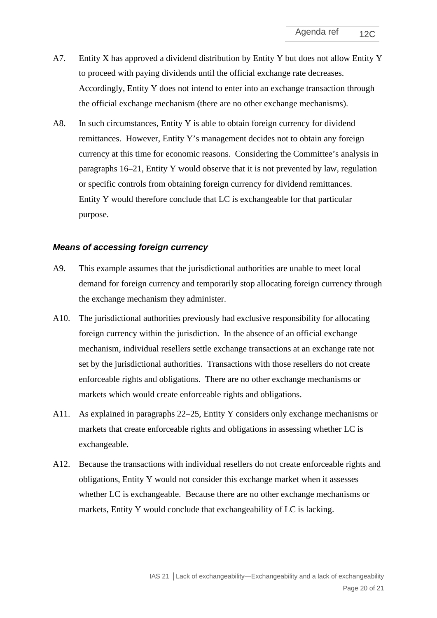- A7. Entity X has approved a dividend distribution by Entity Y but does not allow Entity Y to proceed with paying dividends until the official exchange rate decreases. Accordingly, Entity Y does not intend to enter into an exchange transaction through the official exchange mechanism (there are no other exchange mechanisms).
- <span id="page-19-0"></span>A8. In such circumstances, Entity Y is able to obtain foreign currency for dividend remittances. However, Entity Y's management decides not to obtain any foreign currency at this time for economic reasons. Considering the Committee's analysis in paragraphs [16–](#page-4-0)[21,](#page-4-1) Entity Y would observe that it is not prevented by law, regulation or specific controls from obtaining foreign currency for dividend remittances. Entity Y would therefore conclude that LC is exchangeable for that particular purpose.

#### *Means of accessing foreign currency*

- <span id="page-19-1"></span>A9. This example assumes that the jurisdictional authorities are unable to meet local demand for foreign currency and temporarily stop allocating foreign currency through the exchange mechanism they administer.
- A10. The jurisdictional authorities previously had exclusive responsibility for allocating foreign currency within the jurisdiction. In the absence of an official exchange mechanism, individual resellers settle exchange transactions at an exchange rate not set by the jurisdictional authorities. Transactions with those resellers do not create enforceable rights and obligations. There are no other exchange mechanisms or markets which would create enforceable rights and obligations.
- A11. As explained in paragraphs [22–](#page-5-0)[25,](#page-5-1) Entity Y considers only exchange mechanisms or markets that create enforceable rights and obligations in assessing whether LC is exchangeable.
- <span id="page-19-2"></span>A12. Because the transactions with individual resellers do not create enforceable rights and obligations, Entity Y would not consider this exchange market when it assesses whether LC is exchangeable. Because there are no other exchange mechanisms or markets, Entity Y would conclude that exchangeability of LC is lacking.